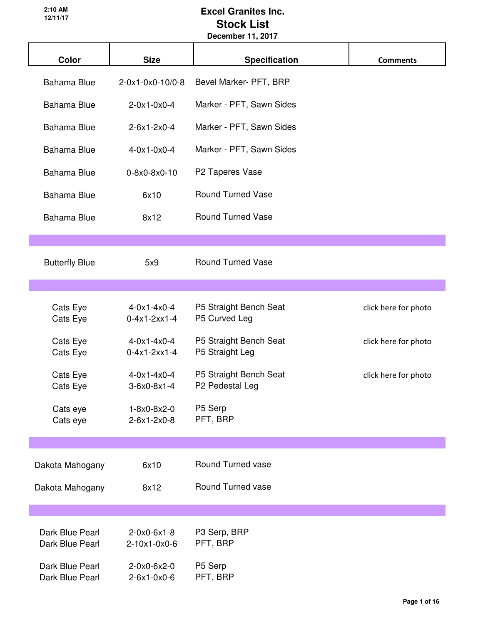| Color                              | <b>Size</b>                                               | <b>Specification</b>                      | <b>Comments</b>      |
|------------------------------------|-----------------------------------------------------------|-------------------------------------------|----------------------|
| <b>Bahama Blue</b>                 | 2-0x1-0x0-10/0-8                                          | Bevel Marker- PFT, BRP                    |                      |
| <b>Bahama Blue</b>                 | $2-0x1-0x0-4$                                             | Marker - PFT, Sawn Sides                  |                      |
| <b>Bahama Blue</b>                 | $2-6x1-2x0-4$                                             | Marker - PFT, Sawn Sides                  |                      |
| <b>Bahama Blue</b>                 | $4 - 0 \times 1 - 0 \times 0 - 4$                         | Marker - PFT, Sawn Sides                  |                      |
| <b>Bahama Blue</b>                 | $0 - 8 \times 0 - 8 \times 0 - 10$                        | P2 Taperes Vase                           |                      |
| <b>Bahama Blue</b>                 | 6x10                                                      | <b>Round Turned Vase</b>                  |                      |
| <b>Bahama Blue</b>                 | 8x12                                                      | Round Turned Vase                         |                      |
|                                    |                                                           |                                           |                      |
| <b>Butterfly Blue</b>              | 5x9                                                       | <b>Round Turned Vase</b>                  |                      |
|                                    |                                                           |                                           |                      |
| Cats Eye<br>Cats Eye               | $4 - 0 \times 1 - 4 \times 0 - 4$<br>$0 - 4x1 - 2xx1 - 4$ | P5 Straight Bench Seat<br>P5 Curved Leg   | click here for photo |
|                                    |                                                           |                                           |                      |
| Cats Eye<br>Cats Eye               | $4 - 0 \times 1 - 4 \times 0 - 4$<br>$0 - 4x1 - 2xx1 - 4$ | P5 Straight Bench Seat<br>P5 Straight Leg | click here for photo |
| Cats Eye                           | $4 - 0 \times 1 - 4 \times 0 - 4$                         | P5 Straight Bench Seat                    | click here for photo |
| Cats Eye                           | $3-6x0-8x1-4$                                             | P2 Pedestal Leg                           |                      |
| Cats eye<br>Cats eye               | $1 - 8 \times 0 - 8 \times 2 - 0$<br>$2-6x1-2x0-8$        | P5 Serp<br>PFT, BRP                       |                      |
|                                    |                                                           |                                           |                      |
| Dakota Mahogany                    | 6x10                                                      | <b>Round Turned vase</b>                  |                      |
| Dakota Mahogany                    | 8x12                                                      | <b>Round Turned vase</b>                  |                      |
|                                    |                                                           |                                           |                      |
| Dark Blue Pearl                    | $2 - 0 \times 0 - 6 \times 1 - 8$                         | P3 Serp, BRP                              |                      |
| Dark Blue Pearl                    | $2 - 10x1 - 0x0 - 6$                                      | PFT, BRP                                  |                      |
| Dark Blue Pearl<br>Dark Blue Pearl | 2-0x0-6x2-0<br>2-6x1-0x0-6                                | P5 Serp<br>PFT, BRP                       |                      |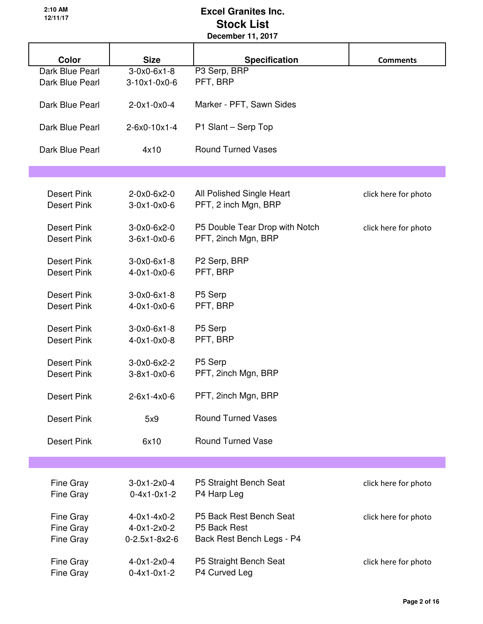| <b>Color</b>       | <b>Size</b>                       | <b>Specification</b>           | <b>Comments</b>      |
|--------------------|-----------------------------------|--------------------------------|----------------------|
| Dark Blue Pearl    | $3-0x0-6x1-8$                     | P3 Serp, BRP                   |                      |
| Dark Blue Pearl    | $3-10x1-0x0-6$                    | PFT, BRP                       |                      |
| Dark Blue Pearl    | $2-0x1-0x0-4$                     | Marker - PFT, Sawn Sides       |                      |
| Dark Blue Pearl    | $2-6x0-10x1-4$                    | P1 Slant - Serp Top            |                      |
| Dark Blue Pearl    | 4x10                              | <b>Round Turned Vases</b>      |                      |
|                    |                                   |                                |                      |
| <b>Desert Pink</b> | $2 - 0 \times 0 - 6 \times 2 - 0$ | All Polished Single Heart      | click here for photo |
| <b>Desert Pink</b> | $3-0x1-0x0-6$                     | PFT, 2 inch Mgn, BRP           |                      |
| Desert Pink        | $3-0x0-6x2-0$                     | P5 Double Tear Drop with Notch | click here for photo |
| <b>Desert Pink</b> | $3-6x1-0x0-6$                     | PFT, 2inch Mgn, BRP            |                      |
| <b>Desert Pink</b> | $3-0x0-6x1-8$                     | P2 Serp, BRP                   |                      |
| <b>Desert Pink</b> | $4 - 0 \times 1 - 0 \times 0 - 6$ | PFT, BRP                       |                      |
| <b>Desert Pink</b> | $3-0x0-6x1-8$                     | P5 Serp                        |                      |
| <b>Desert Pink</b> | $4 - 0 \times 1 - 0 \times 0 - 6$ | PFT, BRP                       |                      |
| <b>Desert Pink</b> | $3-0x0-6x1-8$                     | P5 Serp                        |                      |
| Desert Pink        | $4 - 0 \times 1 - 0 \times 0 - 8$ | PFT, BRP                       |                      |
| <b>Desert Pink</b> | 3-0x0-6x2-2                       | P5 Serp                        |                      |
| <b>Desert Pink</b> | $3-8x1-0x0-6$                     | PFT, 2inch Mgn, BRP            |                      |
| <b>Desert Pink</b> | $2-6x1-4x0-6$                     | PFT, 2inch Mgn, BRP            |                      |
| <b>Desert Pink</b> | 5x9                               | <b>Round Turned Vases</b>      |                      |
| <b>Desert Pink</b> | 6x10                              | <b>Round Turned Vase</b>       |                      |
|                    |                                   |                                |                      |
| Fine Gray          | $3-0x1-2x0-4$                     | P5 Straight Bench Seat         | click here for photo |
| Fine Gray          | $0-4x1-0x1-2$                     | P4 Harp Leg                    |                      |
| Fine Gray          | $4-0x1-4x0-2$                     | P5 Back Rest Bench Seat        | click here for photo |
| Fine Gray          | $4-0x1-2x0-2$                     | P5 Back Rest                   |                      |
| Fine Gray          | $0 - 2.5x1 - 8x2 - 6$             | Back Rest Bench Legs - P4      |                      |
| Fine Gray          | $4 - 0x1 - 2x0 - 4$               | P5 Straight Bench Seat         | click here for photo |
| Fine Gray          | $0-4x1-0x1-2$                     | P4 Curved Leg                  |                      |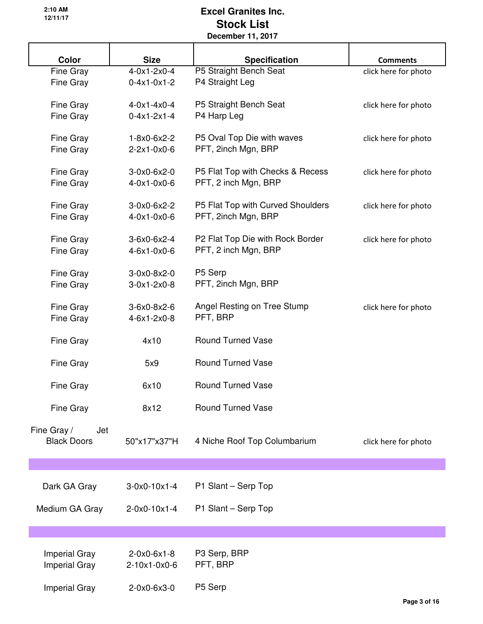| <b>Color</b>         | <b>Size</b>                        | <b>Specification</b>              | <b>Comments</b>      |
|----------------------|------------------------------------|-----------------------------------|----------------------|
| Fine Gray            | $4-0x1-2x0-4$                      | P5 Straight Bench Seat            | click here for photo |
| Fine Gray            | $0-4x1-0x1-2$                      | P4 Straight Leg                   |                      |
| Fine Gray            | $4 - 0 \times 1 - 4 \times 0 - 4$  | P5 Straight Bench Seat            | click here for photo |
| Fine Gray            | $0-4x1-2x1-4$                      | P4 Harp Leg                       |                      |
| Fine Gray            | $1 - 8 \times 0 - 6 \times 2 - 2$  | P5 Oval Top Die with waves        | click here for photo |
| Fine Gray            | $2-2x1-0x0-6$                      | PFT, 2inch Mgn, BRP               |                      |
| Fine Gray            | 3-0x0-6x2-0                        | P5 Flat Top with Checks & Recess  | click here for photo |
| Fine Gray            | $4-0x1-0x0-6$                      | PFT, 2 inch Mgn, BRP              |                      |
| Fine Gray            | 3-0x0-6x2-2                        | P5 Flat Top with Curved Shoulders | click here for photo |
| Fine Gray            | $4-0x1-0x0-6$                      | PFT, 2inch Mgn, BRP               |                      |
| Fine Gray            | 3-6x0-6x2-4                        | P2 Flat Top Die with Rock Border  | click here for photo |
| Fine Gray            | 4-6x1-0x0-6                        | PFT, 2 inch Mgn, BRP              |                      |
| Fine Gray            | 3-0x0-8x2-0                        | P5 Serp                           |                      |
| Fine Gray            | $3-0x1-2x0-8$                      | PFT, 2inch Mgn, BRP               |                      |
| Fine Gray            | 3-6x0-8x2-6                        | Angel Resting on Tree Stump       | click here for photo |
| Fine Gray            | 4-6x1-2x0-8                        | PFT, BRP                          |                      |
| Fine Gray            | 4x10                               | <b>Round Turned Vase</b>          |                      |
| Fine Gray            | 5x9                                | <b>Round Turned Vase</b>          |                      |
| Fine Gray            | 6x10                               | <b>Round Turned Vase</b>          |                      |
| Fine Gray            | 8x12                               | <b>Round Turned Vase</b>          |                      |
| Fine Gray /<br>Jet   |                                    |                                   |                      |
| <b>Black Doors</b>   | 50"x17"x37"H                       | 4 Niche Roof Top Columbarium      | click here for photo |
|                      |                                    |                                   |                      |
| Dark GA Gray         | $3-0x0-10x1-4$                     | P1 Slant - Serp Top               |                      |
| Medium GA Gray       | $2 - 0 \times 0 - 10 \times 1 - 4$ | P1 Slant - Serp Top               |                      |
|                      |                                    |                                   |                      |
|                      |                                    |                                   |                      |
| <b>Imperial Gray</b> | $2 - 0 \times 0 - 6 \times 1 - 8$  | P3 Serp, BRP                      |                      |
| <b>Imperial Gray</b> | 2-10x1-0x0-6                       | PFT, BRP                          |                      |
| <b>Imperial Gray</b> | 2-0x0-6x3-0                        | P5 Serp                           |                      |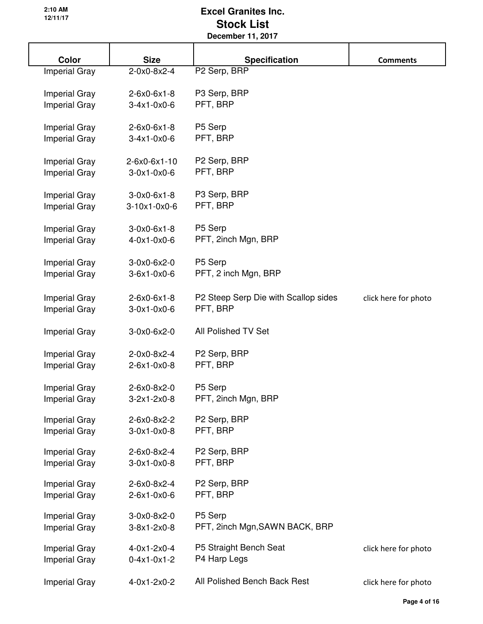| Color                | <b>Size</b>                       | <b>Specification</b>                 | <b>Comments</b>      |
|----------------------|-----------------------------------|--------------------------------------|----------------------|
| <b>Imperial Gray</b> | 2-0x0-8x2-4                       | P2 Serp, BRP                         |                      |
|                      |                                   |                                      |                      |
| <b>Imperial Gray</b> | $2-6x0-6x1-8$                     | P3 Serp, BRP                         |                      |
| <b>Imperial Gray</b> | $3-4x1-0x0-6$                     | PFT, BRP                             |                      |
| <b>Imperial Gray</b> | $2-6x0-6x1-8$                     | P5 Serp                              |                      |
| <b>Imperial Gray</b> | $3-4x1-0x0-6$                     | PFT, BRP                             |                      |
|                      |                                   |                                      |                      |
| <b>Imperial Gray</b> | 2-6x0-6x1-10                      | P2 Serp, BRP                         |                      |
| <b>Imperial Gray</b> | $3-0x1-0x0-6$                     | PFT, BRP                             |                      |
| <b>Imperial Gray</b> | $3-0x0-6x1-8$                     | P3 Serp, BRP                         |                      |
| <b>Imperial Gray</b> | $3-10x1-0x0-6$                    | PFT, BRP                             |                      |
|                      |                                   |                                      |                      |
| <b>Imperial Gray</b> | $3-0x0-6x1-8$                     | P5 Serp                              |                      |
| <b>Imperial Gray</b> | $4 - 0 \times 1 - 0 \times 0 - 6$ | PFT, 2inch Mgn, BRP                  |                      |
| <b>Imperial Gray</b> | 3-0x0-6x2-0                       | P5 Serp                              |                      |
| <b>Imperial Gray</b> | $3-6x1-0x0-6$                     | PFT, 2 inch Mgn, BRP                 |                      |
|                      |                                   |                                      |                      |
| <b>Imperial Gray</b> | $2-6x0-6x1-8$                     | P2 Steep Serp Die with Scallop sides | click here for photo |
| <b>Imperial Gray</b> | $3-0x1-0x0-6$                     | PFT, BRP                             |                      |
| <b>Imperial Gray</b> | 3-0x0-6x2-0                       | All Polished TV Set                  |                      |
|                      |                                   |                                      |                      |
| <b>Imperial Gray</b> | 2-0x0-8x2-4                       | P2 Serp, BRP                         |                      |
| <b>Imperial Gray</b> | $2-6x1-0x0-8$                     | PFT, BRP                             |                      |
| <b>Imperial Gray</b> | 2-6x0-8x2-0                       | P5 Serp                              |                      |
| <b>Imperial Gray</b> | $3-2x1-2x0-8$                     | PFT, 2inch Mgn, BRP                  |                      |
|                      |                                   |                                      |                      |
| <b>Imperial Gray</b> | 2-6x0-8x2-2                       | P2 Serp, BRP                         |                      |
| <b>Imperial Gray</b> | $3-0x1-0x0-8$                     | PFT, BRP                             |                      |
| <b>Imperial Gray</b> | 2-6x0-8x2-4                       | P2 Serp, BRP                         |                      |
| <b>Imperial Gray</b> | $3-0x1-0x0-8$                     | PFT, BRP                             |                      |
| <b>Imperial Gray</b> | 2-6x0-8x2-4                       | P2 Serp, BRP                         |                      |
| <b>Imperial Gray</b> | 2-6x1-0x0-6                       | PFT, BRP                             |                      |
|                      |                                   |                                      |                      |
| <b>Imperial Gray</b> | 3-0x0-8x2-0                       | P5 Serp                              |                      |
| <b>Imperial Gray</b> | $3-8x1-2x0-8$                     | PFT, 2inch Mgn, SAWN BACK, BRP       |                      |
| <b>Imperial Gray</b> | $4 - 0x1 - 2x0 - 4$               | P5 Straight Bench Seat               | click here for photo |
| <b>Imperial Gray</b> | $0-4x1-0x1-2$                     | P4 Harp Legs                         |                      |
|                      |                                   |                                      |                      |
| <b>Imperial Gray</b> | 4-0x1-2x0-2                       | All Polished Bench Back Rest         | click here for photo |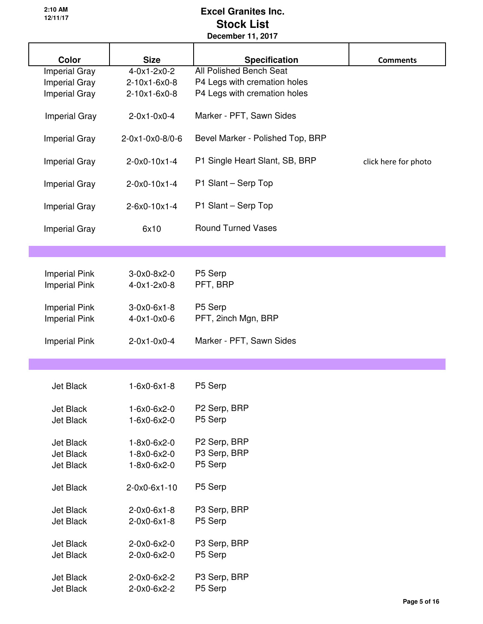I

I

| <b>Color</b>         | <b>Size</b>                       | <b>Specification</b>             | <b>Comments</b>      |
|----------------------|-----------------------------------|----------------------------------|----------------------|
| <b>Imperial Gray</b> | $4-0x1-2x0-2$                     | <b>All Polished Bench Seat</b>   |                      |
| <b>Imperial Gray</b> | 2-10x1-6x0-8                      | P4 Legs with cremation holes     |                      |
| <b>Imperial Gray</b> | 2-10x1-6x0-8                      | P4 Legs with cremation holes     |                      |
|                      |                                   |                                  |                      |
| <b>Imperial Gray</b> | $2-0x1-0x0-4$                     | Marker - PFT, Sawn Sides         |                      |
| <b>Imperial Gray</b> | 2-0x1-0x0-8/0-6                   | Bevel Marker - Polished Top, BRP |                      |
| <b>Imperial Gray</b> | 2-0x0-10x1-4                      | P1 Single Heart Slant, SB, BRP   | click here for photo |
| <b>Imperial Gray</b> | 2-0x0-10x1-4                      | P1 Slant - Serp Top              |                      |
| <b>Imperial Gray</b> | 2-6x0-10x1-4                      | P1 Slant – Serp Top              |                      |
| <b>Imperial Gray</b> | 6x10                              | <b>Round Turned Vases</b>        |                      |
|                      |                                   |                                  |                      |
|                      |                                   |                                  |                      |
| <b>Imperial Pink</b> | $3-0x0-8x2-0$                     | P5 Serp                          |                      |
| <b>Imperial Pink</b> | $4-0x1-2x0-8$                     | PFT, BRP                         |                      |
|                      |                                   |                                  |                      |
| <b>Imperial Pink</b> | $3-0x0-6x1-8$                     | P5 Serp                          |                      |
| <b>Imperial Pink</b> | $4 - 0x1 - 0x0 - 6$               | PFT, 2inch Mgn, BRP              |                      |
|                      |                                   |                                  |                      |
| <b>Imperial Pink</b> | $2-0x1-0x0-4$                     | Marker - PFT, Sawn Sides         |                      |
|                      |                                   |                                  |                      |
|                      |                                   |                                  |                      |
|                      |                                   |                                  |                      |
| Jet Black            | $1-6x0-6x1-8$                     | P5 Serp                          |                      |
|                      |                                   |                                  |                      |
| Jet Black            | $1 - 6 \times 0 - 6 \times 2 - 0$ | P2 Serp, BRP                     |                      |
| Jet Black            | $1-6x0-6x2-0$                     | P5 Serp                          |                      |
|                      |                                   |                                  |                      |
| Jet Black            | $1 - 8 \times 0 - 6 \times 2 - 0$ | P2 Serp, BRP                     |                      |
| Jet Black            | $1 - 8 \times 0 - 6 \times 2 - 0$ | P3 Serp, BRP                     |                      |
| Jet Black            | $1 - 8 \times 0 - 6 \times 2 - 0$ | P5 Serp                          |                      |
|                      |                                   |                                  |                      |
| Jet Black            | 2-0x0-6x1-10                      | P5 Serp                          |                      |
| Jet Black            | $2 - 0 \times 0 - 6 \times 1 - 8$ | P3 Serp, BRP                     |                      |
| Jet Black            | $2-0x0-6x1-8$                     | P5 Serp                          |                      |
|                      |                                   |                                  |                      |
| Jet Black            | 2-0x0-6x2-0                       | P3 Serp, BRP                     |                      |
|                      |                                   |                                  |                      |
| Jet Black            | 2-0x0-6x2-0                       | P5 Serp                          |                      |
| Jet Black            | 2-0x0-6x2-2                       | P3 Serp, BRP                     |                      |
| Jet Black            | 2-0x0-6x2-2                       | P5 Serp                          |                      |
|                      |                                   |                                  |                      |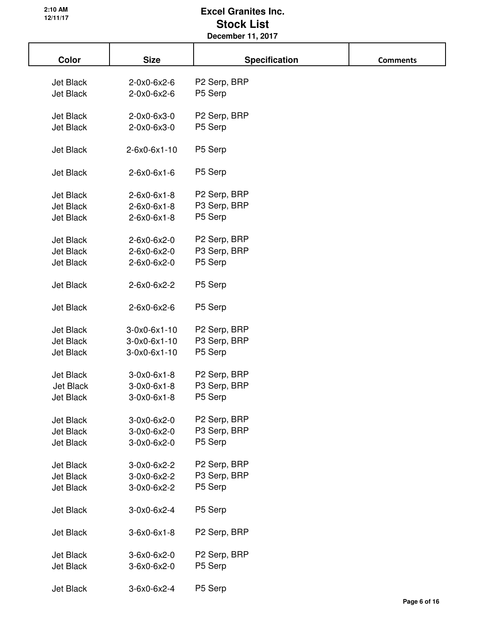| Color            | <b>Size</b>    | <b>Specification</b>     | <b>Comments</b> |
|------------------|----------------|--------------------------|-----------------|
|                  |                |                          |                 |
| Jet Black        | 2-0x0-6x2-6    | P <sub>2</sub> Serp, BRP |                 |
| Jet Black        | 2-0x0-6x2-6    | P5 Serp                  |                 |
| Jet Black        | 2-0x0-6x3-0    | P2 Serp, BRP             |                 |
| Jet Black        | 2-0x0-6x3-0    | P5 Serp                  |                 |
| Jet Black        | 2-6x0-6x1-10   | P5 Serp                  |                 |
| Jet Black        | 2-6x0-6x1-6    | P5 Serp                  |                 |
| Jet Black        | $2-6x0-6x1-8$  | P2 Serp, BRP             |                 |
| Jet Black        | $2-6x0-6x1-8$  | P3 Serp, BRP             |                 |
| Jet Black        | $2-6x0-6x1-8$  | P5 Serp                  |                 |
| Jet Black        | 2-6x0-6x2-0    | P2 Serp, BRP             |                 |
| Jet Black        | 2-6x0-6x2-0    | P3 Serp, BRP             |                 |
| Jet Black        | 2-6x0-6x2-0    | P5 Serp                  |                 |
| Jet Black        | 2-6x0-6x2-2    | P5 Serp                  |                 |
| Jet Black        | 2-6x0-6x2-6    | P5 Serp                  |                 |
| Jet Black        | $3-0x0-6x1-10$ | P2 Serp, BRP             |                 |
| Jet Black        | $3-0x0-6x1-10$ | P3 Serp, BRP             |                 |
| <b>Jet Black</b> | 3-0x0-6x1-10   | P5 Serp                  |                 |
| Jet Black        | $3-0x0-6x1-8$  | P2 Serp, BRP             |                 |
| Jet Black        | $3-0x0-6x1-8$  | P3 Serp, BRP             |                 |
| Jet Black        | $3-0x0-6x1-8$  | P5 Serp                  |                 |
| Jet Black        | 3-0x0-6x2-0    | P2 Serp, BRP             |                 |
| Jet Black        | 3-0x0-6x2-0    | P3 Serp, BRP             |                 |
| Jet Black        | 3-0x0-6x2-0    | P5 Serp                  |                 |
| Jet Black        | 3-0x0-6x2-2    | P2 Serp, BRP             |                 |
| Jet Black        | 3-0x0-6x2-2    | P3 Serp, BRP             |                 |
| Jet Black        | 3-0x0-6x2-2    | P5 Serp                  |                 |
| Jet Black        | 3-0x0-6x2-4    | P5 Serp                  |                 |
| Jet Black        | $3-6x0-6x1-8$  | P <sub>2</sub> Serp, BRP |                 |
| Jet Black        | 3-6x0-6x2-0    | P2 Serp, BRP             |                 |
| Jet Black        | 3-6x0-6x2-0    | P5 Serp                  |                 |
| Jet Black        | 3-6x0-6x2-4    | P5 Serp                  |                 |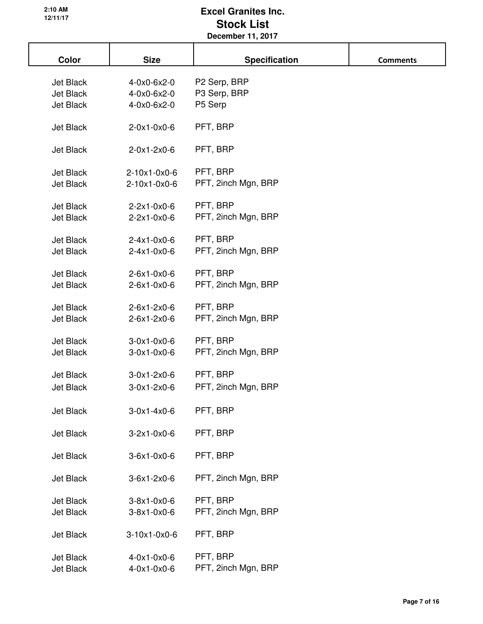| <b>Color</b> | <b>Size</b>                       | <b>Specification</b> | <b>Comments</b> |
|--------------|-----------------------------------|----------------------|-----------------|
| Jet Black    | 4-0x0-6x2-0                       | P2 Serp, BRP         |                 |
| Jet Black    | 4-0x0-6x2-0                       | P3 Serp, BRP         |                 |
| Jet Black    | 4-0x0-6x2-0                       | P5 Serp              |                 |
|              |                                   |                      |                 |
| Jet Black    | $2-0x1-0x0-6$                     | PFT, BRP             |                 |
| Jet Black    | $2-0x1-2x0-6$                     | PFT, BRP             |                 |
| Jet Black    | $2 - 10x1 - 0x0 - 6$              | PFT, BRP             |                 |
| Jet Black    | 2-10x1-0x0-6                      | PFT, 2inch Mgn, BRP  |                 |
| Jet Black    | $2 - 2 \times 1 - 0 \times 0 - 6$ | PFT, BRP             |                 |
| Jet Black    | $2 - 2 \times 1 - 0 \times 0 - 6$ | PFT, 2inch Mgn, BRP  |                 |
|              |                                   |                      |                 |
| Jet Black    | $2 - 4x1 - 0x0 - 6$               | PFT, BRP             |                 |
| Jet Black    | $2 - 4x1 - 0x0 - 6$               | PFT, 2inch Mgn, BRP  |                 |
|              |                                   |                      |                 |
| Jet Black    | $2-6x1-0x0-6$                     | PFT, BRP             |                 |
| Jet Black    | $2-6x1-0x0-6$                     | PFT, 2inch Mgn, BRP  |                 |
|              |                                   |                      |                 |
| Jet Black    | $2-6x1-2x0-6$                     | PFT, BRP             |                 |
| Jet Black    | $2-6x1-2x0-6$                     | PFT, 2inch Mgn, BRP  |                 |
|              |                                   |                      |                 |
| Jet Black    | $3-0x1-0x0-6$                     | PFT, BRP             |                 |
| Jet Black    | $3-0x1-0x0-6$                     | PFT, 2inch Mgn, BRP  |                 |
|              |                                   |                      |                 |
| Jet Black    | $3-0x1-2x0-6$                     | PFT, BRP             |                 |
| Jet Black    | $3-0x1-2x0-6$                     | PFT, 2inch Mgn, BRP  |                 |
|              |                                   |                      |                 |
| Jet Black    | $3-0x1-4x0-6$                     | PFT, BRP             |                 |
|              |                                   |                      |                 |
| Jet Black    | $3-2x1-0x0-6$                     | PFT, BRP             |                 |
|              |                                   |                      |                 |
| Jet Black    | $3-6x1-0x0-6$                     | PFT, BRP             |                 |
|              |                                   |                      |                 |
| Jet Black    | $3-6x1-2x0-6$                     | PFT, 2inch Mgn, BRP  |                 |
|              |                                   |                      |                 |
| Jet Black    | $3-8x1-0x0-6$                     | PFT, BRP             |                 |
| Jet Black    | $3-8x1-0x0-6$                     | PFT, 2inch Mgn, BRP  |                 |
|              |                                   |                      |                 |
| Jet Black    | 3-10x1-0x0-6                      | PFT, BRP             |                 |
|              |                                   |                      |                 |
| Jet Black    | $4 - 0 \times 1 - 0 \times 0 - 6$ | PFT, BRP             |                 |
| Jet Black    | $4-0x1-0x0-6$                     | PFT, 2inch Mgn, BRP  |                 |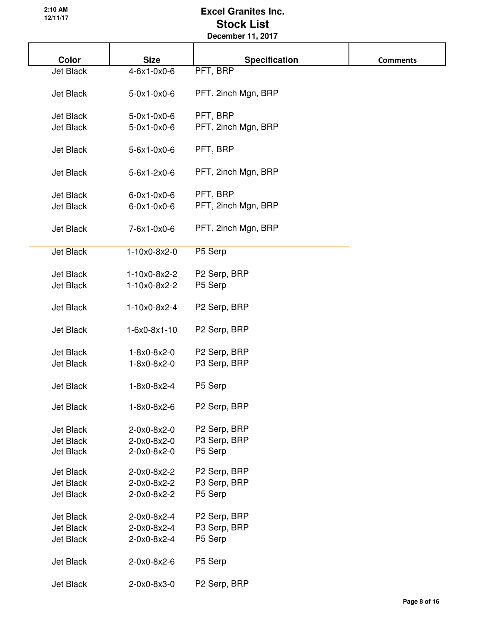| Color     | <b>Size</b>                       | <b>Specification</b>     | <b>Comments</b> |
|-----------|-----------------------------------|--------------------------|-----------------|
| Jet Black | 4-6x1-0x0-6                       | PFT, BRP                 |                 |
|           |                                   |                          |                 |
| Jet Black | $5-0x1-0x0-6$                     | PFT, 2inch Mgn, BRP      |                 |
|           |                                   |                          |                 |
| Jet Black | $5-0x1-0x0-6$                     | PFT, BRP                 |                 |
| Jet Black | $5-0x1-0x0-6$                     | PFT, 2inch Mgn, BRP      |                 |
| Jet Black |                                   | PFT, BRP                 |                 |
|           | $5-6x1-0x0-6$                     |                          |                 |
| Jet Black | $5-6x1-2x0-6$                     | PFT, 2inch Mgn, BRP      |                 |
|           |                                   |                          |                 |
| Jet Black | $6 - 0x1 - 0x0 - 6$               | PFT, BRP                 |                 |
| Jet Black | $6 - 0x1 - 0x0 - 6$               | PFT, 2inch Mgn, BRP      |                 |
|           |                                   |                          |                 |
| Jet Black | 7-6x1-0x0-6                       | PFT, 2inch Mgn, BRP      |                 |
|           |                                   |                          |                 |
| Jet Black | 1-10x0-8x2-0                      | P5 Serp                  |                 |
|           |                                   |                          |                 |
| Jet Black | 1-10x0-8x2-2                      | P2 Serp, BRP             |                 |
| Jet Black | 1-10x0-8x2-2                      | P5 Serp                  |                 |
|           |                                   |                          |                 |
| Jet Black | 1-10x0-8x2-4                      | P <sub>2</sub> Serp, BRP |                 |
| Jet Black | $1-6x0-8x1-10$                    | P <sub>2</sub> Serp, BRP |                 |
|           |                                   |                          |                 |
| Jet Black | $1 - 8 \times 0 - 8 \times 2 - 0$ | P2 Serp, BRP             |                 |
| Jet Black | $1 - 8 \times 0 - 8 \times 2 - 0$ | P3 Serp, BRP             |                 |
|           |                                   |                          |                 |
| Jet Black | 1-8x0-8x2-4                       | P5 Serp                  |                 |
|           |                                   |                          |                 |
| Jet Black | 1-8x0-8x2-6                       | P2 Serp, BRP             |                 |
|           |                                   |                          |                 |
| Jet Black | 2-0x0-8x2-0                       | P2 Serp, BRP             |                 |
| Jet Black | 2-0x0-8x2-0                       | P3 Serp, BRP             |                 |
| Jet Black | 2-0x0-8x2-0                       | P5 Serp                  |                 |
| Jet Black | 2-0x0-8x2-2                       | P2 Serp, BRP             |                 |
| Jet Black | 2-0x0-8x2-2                       | P3 Serp, BRP             |                 |
| Jet Black | 2-0x0-8x2-2                       | P5 Serp                  |                 |
|           |                                   |                          |                 |
| Jet Black | 2-0x0-8x2-4                       | P2 Serp, BRP             |                 |
| Jet Black | 2-0x0-8x2-4                       | P3 Serp, BRP             |                 |
| Jet Black | 2-0x0-8x2-4                       | P5 Serp                  |                 |
|           |                                   |                          |                 |
| Jet Black | 2-0x0-8x2-6                       | P5 Serp                  |                 |
|           |                                   |                          |                 |
| Jet Black | 2-0x0-8x3-0                       | P2 Serp, BRP             |                 |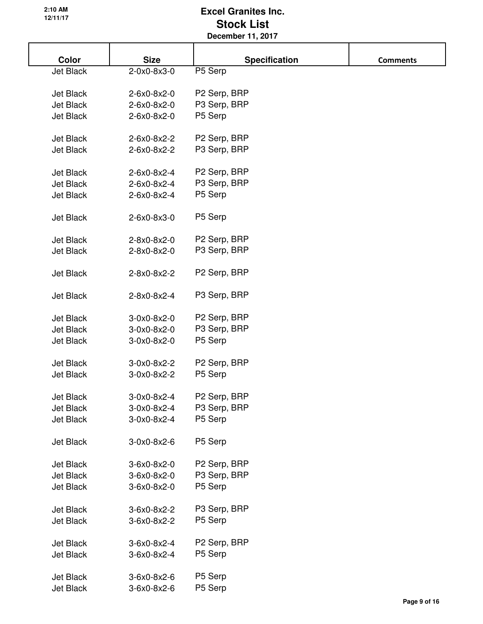| Color            | <b>Size</b>   | <b>Specification</b> | <b>Comments</b> |
|------------------|---------------|----------------------|-----------------|
| Jet Black        | 2-0x0-8x3-0   | P5 Serp              |                 |
|                  |               |                      |                 |
| Jet Black        | 2-6x0-8x2-0   | P2 Serp, BRP         |                 |
| Jet Black        | 2-6x0-8x2-0   | P3 Serp, BRP         |                 |
| Jet Black        | 2-6x0-8x2-0   | P5 Serp              |                 |
|                  |               |                      |                 |
| Jet Black        | 2-6x0-8x2-2   | P2 Serp, BRP         |                 |
| Jet Black        | 2-6x0-8x2-2   | P3 Serp, BRP         |                 |
|                  |               |                      |                 |
| Jet Black        | 2-6x0-8x2-4   | P2 Serp, BRP         |                 |
| Jet Black        | 2-6x0-8x2-4   | P3 Serp, BRP         |                 |
| Jet Black        | 2-6x0-8x2-4   | P5 Serp              |                 |
|                  |               |                      |                 |
| Jet Black        | 2-6x0-8x3-0   | P5 Serp              |                 |
|                  |               |                      |                 |
| Jet Black        | 2-8x0-8x2-0   | P2 Serp, BRP         |                 |
| Jet Black        | 2-8x0-8x2-0   | P3 Serp, BRP         |                 |
| Jet Black        | 2-8x0-8x2-2   | P2 Serp, BRP         |                 |
|                  |               |                      |                 |
| Jet Black        | 2-8x0-8x2-4   | P3 Serp, BRP         |                 |
|                  |               |                      |                 |
| Jet Black        | $3-0x0-8x2-0$ | P2 Serp, BRP         |                 |
| Jet Black        | $3-0x0-8x2-0$ | P3 Serp, BRP         |                 |
| Jet Black        | $3-0x0-8x2-0$ | P5 Serp              |                 |
|                  |               |                      |                 |
| Jet Black        | 3-0x0-8x2-2   | P2 Serp, BRP         |                 |
| <b>Jet Black</b> | 3-0x0-8x2-2   | P5 Serp              |                 |
|                  |               |                      |                 |
| Jet Black        | 3-0x0-8x2-4   | P2 Serp, BRP         |                 |
| Jet Black        | 3-0x0-8x2-4   | P3 Serp, BRP         |                 |
| Jet Black        | 3-0x0-8x2-4   | P5 Serp              |                 |
|                  |               |                      |                 |
| Jet Black        | 3-0x0-8x2-6   | P5 Serp              |                 |
|                  |               |                      |                 |
| Jet Black        | 3-6x0-8x2-0   | P2 Serp, BRP         |                 |
| Jet Black        | $3-6x0-8x2-0$ | P3 Serp, BRP         |                 |
| Jet Black        | 3-6x0-8x2-0   | P5 Serp              |                 |
|                  |               |                      |                 |
| Jet Black        | 3-6x0-8x2-2   | P3 Serp, BRP         |                 |
| Jet Black        | 3-6x0-8x2-2   | P5 Serp              |                 |
| Jet Black        | 3-6x0-8x2-4   | P2 Serp, BRP         |                 |
| Jet Black        | 3-6x0-8x2-4   | P5 Serp              |                 |
|                  |               |                      |                 |
| Jet Black        | 3-6x0-8x2-6   | P5 Serp              |                 |
| Jet Black        | 3-6x0-8x2-6   | P5 Serp              |                 |
|                  |               |                      |                 |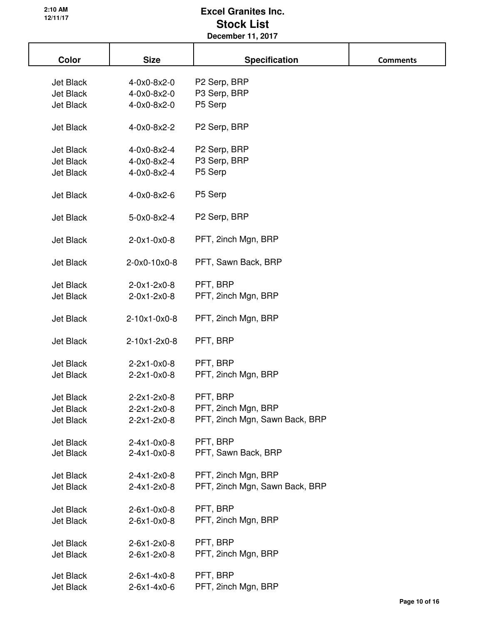| Color     | <b>Size</b>                | <b>Specification</b>           | <b>Comments</b> |
|-----------|----------------------------|--------------------------------|-----------------|
| Jet Black |                            | P2 Serp, BRP                   |                 |
| Jet Black | 4-0x0-8x2-0<br>4-0x0-8x2-0 | P3 Serp, BRP                   |                 |
|           |                            |                                |                 |
| Jet Black | 4-0x0-8x2-0                | P5 Serp                        |                 |
| Jet Black | 4-0x0-8x2-2                | P2 Serp, BRP                   |                 |
| Jet Black | 4-0x0-8x2-4                | P2 Serp, BRP                   |                 |
| Jet Black | 4-0x0-8x2-4                | P3 Serp, BRP                   |                 |
| Jet Black | 4-0x0-8x2-4                | P5 Serp                        |                 |
|           |                            |                                |                 |
| Jet Black | 4-0x0-8x2-6                | P5 Serp                        |                 |
|           |                            |                                |                 |
| Jet Black | 5-0x0-8x2-4                | P2 Serp, BRP                   |                 |
|           |                            |                                |                 |
| Jet Black | $2-0x1-0x0-8$              | PFT, 2inch Mgn, BRP            |                 |
|           |                            |                                |                 |
| Jet Black | 2-0x0-10x0-8               | PFT, Sawn Back, BRP            |                 |
|           |                            |                                |                 |
| Jet Black | $2-0x1-2x0-8$              | PFT, BRP                       |                 |
| Jet Black | $2-0x1-2x0-8$              | PFT, 2inch Mgn, BRP            |                 |
|           |                            |                                |                 |
| Jet Black | 2-10x1-0x0-8               | PFT, 2inch Mgn, BRP            |                 |
|           |                            |                                |                 |
| Jet Black | 2-10x1-2x0-8               | PFT, BRP                       |                 |
|           |                            |                                |                 |
| Jet Black | $2-2x1-0x0-8$              | PFT, BRP                       |                 |
| Jet Black | $2-2x1-0x0-8$              | PFT, 2inch Mgn, BRP            |                 |
|           |                            |                                |                 |
| Jet Black | 2-2x1-2x0-8                | PFT, BRP                       |                 |
| Jet Black | $2-2x1-2x0-8$              | PFT, 2inch Mgn, BRP            |                 |
| Jet Black | $2-2x1-2x0-8$              | PFT, 2inch Mgn, Sawn Back, BRP |                 |
|           |                            |                                |                 |
| Jet Black | $2-4x1-0x0-8$              | PFT, BRP                       |                 |
| Jet Black | $2-4x1-0x0-8$              | PFT, Sawn Back, BRP            |                 |
|           |                            |                                |                 |
| Jet Black | $2-4x1-2x0-8$              | PFT, 2inch Mgn, BRP            |                 |
| Jet Black | $2-4x1-2x0-8$              | PFT, 2inch Mgn, Sawn Back, BRP |                 |
|           |                            |                                |                 |
| Jet Black | $2-6x1-0x0-8$              | PFT, BRP                       |                 |
|           |                            | PFT, 2inch Mgn, BRP            |                 |
| Jet Black | $2 - 6x1 - 0x0 - 8$        |                                |                 |
| Jet Black | $2-6x1-2x0-8$              | PFT, BRP                       |                 |
| Jet Black |                            | PFT, 2inch Mgn, BRP            |                 |
|           | $2-6x1-2x0-8$              |                                |                 |
| Jet Black | $2-6x1-4x0-8$              | PFT, BRP                       |                 |
| Jet Black | 2-6x1-4x0-6                | PFT, 2inch Mgn, BRP            |                 |
|           |                            |                                |                 |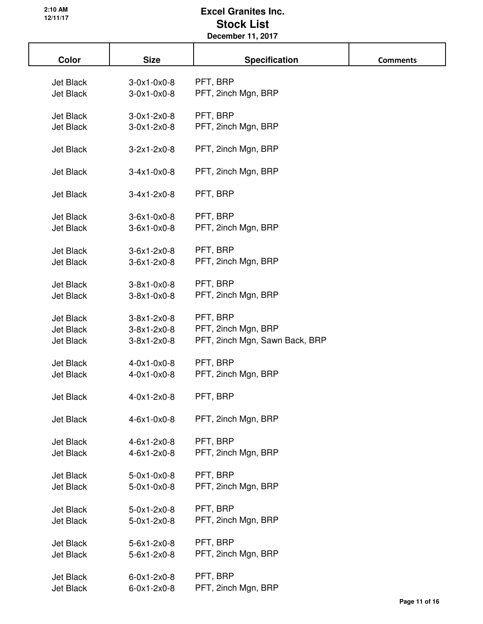| Color     | <b>Size</b>                       | <b>Specification</b>           | <b>Comments</b> |
|-----------|-----------------------------------|--------------------------------|-----------------|
| Jet Black | $3-0x1-0x0-8$                     | PFT, BRP                       |                 |
| Jet Black | $3-0x1-0x0-8$                     | PFT, 2inch Mgn, BRP            |                 |
|           |                                   |                                |                 |
| Jet Black | $3-0x1-2x0-8$                     | PFT, BRP                       |                 |
| Jet Black | $3-0x1-2x0-8$                     | PFT, 2inch Mgn, BRP            |                 |
|           |                                   |                                |                 |
| Jet Black | $3-2x1-2x0-8$                     | PFT, 2inch Mgn, BRP            |                 |
| Jet Black | $3-4x1-0x0-8$                     | PFT, 2inch Mgn, BRP            |                 |
|           |                                   |                                |                 |
| Jet Black | $3-4x1-2x0-8$                     | PFT, BRP                       |                 |
|           |                                   |                                |                 |
| Jet Black | $3-6x1-0x0-8$                     | PFT, BRP                       |                 |
| Jet Black | $3-6x1-0x0-8$                     | PFT, 2inch Mgn, BRP            |                 |
|           |                                   |                                |                 |
| Jet Black | $3-6x1-2x0-8$                     | PFT, BRP                       |                 |
| Jet Black | $3-6x1-2x0-8$                     | PFT, 2inch Mgn, BRP            |                 |
| Jet Black | $3-8x1-0x0-8$                     | PFT, BRP                       |                 |
| Jet Black | $3-8x1-0x0-8$                     | PFT, 2inch Mgn, BRP            |                 |
|           |                                   |                                |                 |
| Jet Black | $3-8x1-2x0-8$                     | PFT, BRP                       |                 |
| Jet Black | $3-8x1-2x0-8$                     | PFT, 2inch Mgn, BRP            |                 |
| Jet Black | $3-8x1-2x0-8$                     | PFT, 2inch Mgn, Sawn Back, BRP |                 |
|           |                                   |                                |                 |
| Jet Black | $4-0x1-0x0-8$                     | PFT, BRP                       |                 |
| Jet Black | $4 - 0 \times 1 - 0 \times 0 - 8$ | PFT, 2inch Mgn, BRP            |                 |
| Jet Black | $4-0x1-2x0-8$                     | PFT, BRP                       |                 |
|           |                                   |                                |                 |
| Jet Black | $4-6x1-0x0-8$                     | PFT, 2inch Mgn, BRP            |                 |
|           |                                   |                                |                 |
| Jet Black | $4-6x1-2x0-8$                     | PFT, BRP                       |                 |
| Jet Black | $4-6x1-2x0-8$                     | PFT, 2inch Mgn, BRP            |                 |
| Jet Black | $5-0x1-0x0-8$                     | PFT, BRP                       |                 |
| Jet Black | $5-0x1-0x0-8$                     | PFT, 2inch Mgn, BRP            |                 |
|           |                                   |                                |                 |
| Jet Black | $5-0x1-2x0-8$                     | PFT, BRP                       |                 |
| Jet Black | $5-0x1-2x0-8$                     | PFT, 2inch Mgn, BRP            |                 |
|           |                                   |                                |                 |
| Jet Black | $5-6x1-2x0-8$                     | PFT, BRP                       |                 |
| Jet Black | 5-6x1-2x0-8                       | PFT, 2inch Mgn, BRP            |                 |
| Jet Black | $6 - 0x1 - 2x0 - 8$               | PFT, BRP                       |                 |
| Jet Black | $6-0x1-2x0-8$                     | PFT, 2inch Mgn, BRP            |                 |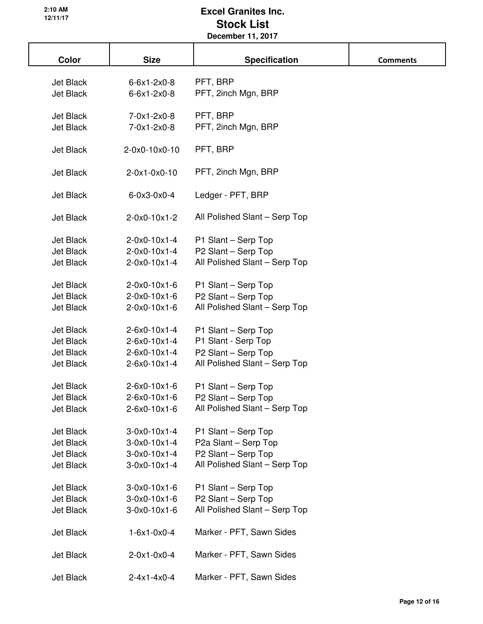| Color            | <b>Size</b>                       | <b>Specification</b>          | <b>Comments</b> |
|------------------|-----------------------------------|-------------------------------|-----------------|
| Jet Black        | 6-6x1-2x0-8                       | PFT, BRP                      |                 |
| Jet Black        | $6 - 6x1 - 2x0 - 8$               | PFT, 2inch Mgn, BRP           |                 |
| Jet Black        | 7-0x1-2x0-8                       | PFT, BRP                      |                 |
| Jet Black        | 7-0x1-2x0-8                       | PFT, 2inch Mgn, BRP           |                 |
| <b>Jet Black</b> | 2-0x0-10x0-10                     | PFT, BRP                      |                 |
| Jet Black        | $2-0x1-0x0-10$                    | PFT, 2inch Mgn, BRP           |                 |
| <b>Jet Black</b> | $6 - 0 \times 3 - 0 \times 0 - 4$ | Ledger - PFT, BRP             |                 |
| Jet Black        | $2-0x0-10x1-2$                    | All Polished Slant - Serp Top |                 |
| Jet Black        | $2-0x0-10x1-4$                    | P1 Slant - Serp Top           |                 |
| Jet Black        | 2-0x0-10x1-4                      | P2 Slant - Serp Top           |                 |
| Jet Black        | $2-0x0-10x1-4$                    | All Polished Slant - Serp Top |                 |
| Jet Black        | $2-0x0-10x1-6$                    | P1 Slant - Serp Top           |                 |
| Jet Black        | 2-0x0-10x1-6                      | P2 Slant - Serp Top           |                 |
| Jet Black        | $2-0x0-10x1-6$                    | All Polished Slant - Serp Top |                 |
| Jet Black        | $2-6x0-10x1-4$                    | P1 Slant - Serp Top           |                 |
| Jet Black        | 2-6x0-10x1-4                      | P1 Slant - Serp Top           |                 |
| Jet Black        | 2-6x0-10x1-4                      | P2 Slant - Serp Top           |                 |
| Jet Black        | 2-6x0-10x1-4                      | All Polished Slant - Serp Top |                 |
| <b>Jet Black</b> | 2-6x0-10x1-6                      | P1 Slant – Serp Top           |                 |
| Jet Black        | 2-6x0-10x1-6                      | P2 Slant - Serp Top           |                 |
| Jet Black        | 2-6x0-10x1-6                      | All Polished Slant - Serp Top |                 |
| Jet Black        | $3-0x0-10x1-4$                    | P1 Slant - Serp Top           |                 |
| Jet Black        | $3-0x0-10x1-4$                    | P2a Slant - Serp Top          |                 |
| Jet Black        | $3-0x0-10x1-4$                    | P2 Slant - Serp Top           |                 |
| Jet Black        | $3-0x0-10x1-4$                    | All Polished Slant - Serp Top |                 |
| Jet Black        | $3-0x0-10x1-6$                    | P1 Slant - Serp Top           |                 |
| Jet Black        | $3-0x0-10x1-6$                    | P2 Slant - Serp Top           |                 |
| Jet Black        | $3-0x0-10x1-6$                    | All Polished Slant - Serp Top |                 |
| Jet Black        | $1-6x1-0x0-4$                     | Marker - PFT, Sawn Sides      |                 |
| Jet Black        | $2-0x1-0x0-4$                     | Marker - PFT, Sawn Sides      |                 |
| Jet Black        | $2-4x1-4x0-4$                     | Marker - PFT, Sawn Sides      |                 |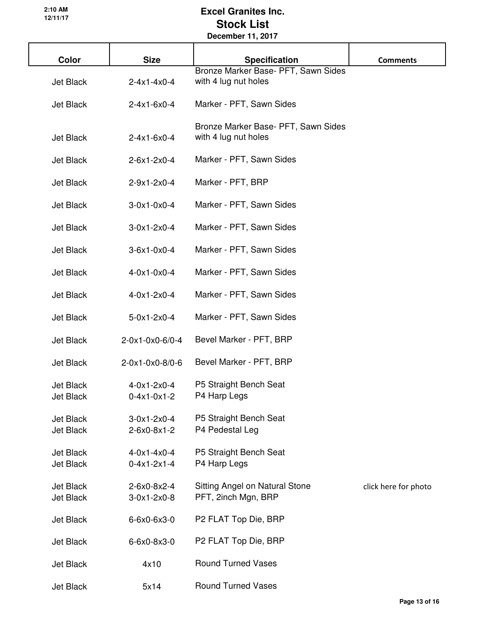| Color                         | <b>Size</b>                                        | <b>Specification</b>                                        | <b>Comments</b>      |
|-------------------------------|----------------------------------------------------|-------------------------------------------------------------|----------------------|
| Jet Black                     | $2-4x1-4x0-4$                                      | Bronze Marker Base- PFT, Sawn Sides<br>with 4 lug nut holes |                      |
| Jet Black                     | $2-4x1-6x0-4$                                      | Marker - PFT, Sawn Sides                                    |                      |
| Jet Black                     | $2 - 4x1 - 6x0 - 4$                                | Bronze Marker Base- PFT, Sawn Sides<br>with 4 lug nut holes |                      |
| Jet Black                     | $2-6x1-2x0-4$                                      | Marker - PFT, Sawn Sides                                    |                      |
| Jet Black                     | 2-9x1-2x0-4                                        | Marker - PFT, BRP                                           |                      |
| Jet Black                     | $3-0x1-0x0-4$                                      | Marker - PFT, Sawn Sides                                    |                      |
| Jet Black                     | $3-0x1-2x0-4$                                      | Marker - PFT, Sawn Sides                                    |                      |
| Jet Black                     | $3-6x1-0x0-4$                                      | Marker - PFT, Sawn Sides                                    |                      |
| Jet Black                     | $4 - 0 \times 1 - 0 \times 0 - 4$                  | Marker - PFT, Sawn Sides                                    |                      |
| Jet Black                     | $4 - 0x1 - 2x0 - 4$                                | Marker - PFT, Sawn Sides                                    |                      |
| Jet Black                     | $5-0x1-2x0-4$                                      | Marker - PFT, Sawn Sides                                    |                      |
| Jet Black                     | 2-0x1-0x0-6/0-4                                    | Bevel Marker - PFT, BRP                                     |                      |
| Jet Black                     | 2-0x1-0x0-8/0-6                                    | Bevel Marker - PFT, BRP                                     |                      |
| Jet Black<br><b>Jet Black</b> | $4 - 0 \times 1 - 2 \times 0 - 4$<br>$0-4x1-0x1-2$ | P5 Straight Bench Seat<br>P4 Harp Legs                      |                      |
| Jet Black<br>Jet Black        | $3-0x1-2x0-4$<br>2-6x0-8x1-2                       | P5 Straight Bench Seat<br>P4 Pedestal Leg                   |                      |
| Jet Black<br>Jet Black        | $4 - 0x1 - 4x0 - 4$<br>$0-4x1-2x1-4$               | P5 Straight Bench Seat<br>P4 Harp Legs                      |                      |
| Jet Black<br>Jet Black        | 2-6x0-8x2-4<br>$3-0x1-2x0-8$                       | Sitting Angel on Natural Stone<br>PFT, 2inch Mgn, BRP       | click here for photo |
| Jet Black                     | 6-6x0-6x3-0                                        | P2 FLAT Top Die, BRP                                        |                      |
| Jet Black                     | 6-6x0-8x3-0                                        | P2 FLAT Top Die, BRP                                        |                      |
| Jet Black                     | 4x10                                               | <b>Round Turned Vases</b>                                   |                      |
| Jet Black                     | 5x14                                               | <b>Round Turned Vases</b>                                   |                      |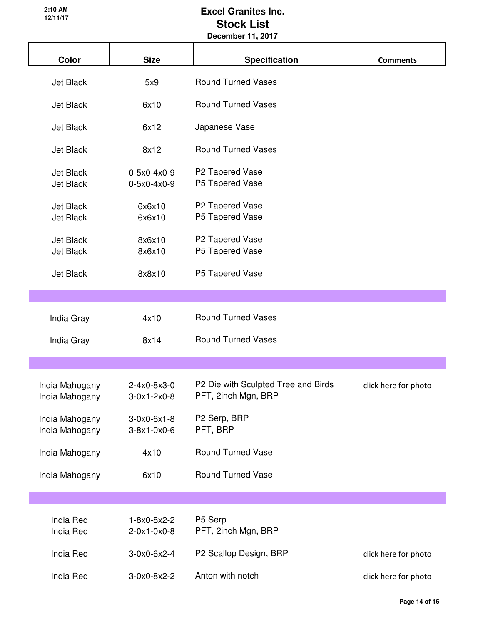|                                  | PUUUIINUI II, LUI <i>I</i>                         |                                                            |                      |  |  |  |  |
|----------------------------------|----------------------------------------------------|------------------------------------------------------------|----------------------|--|--|--|--|
| Color                            | <b>Size</b>                                        | <b>Specification</b>                                       | <b>Comments</b>      |  |  |  |  |
| Jet Black                        | 5x9                                                | <b>Round Turned Vases</b>                                  |                      |  |  |  |  |
| Jet Black                        | 6x10                                               | <b>Round Turned Vases</b>                                  |                      |  |  |  |  |
| Jet Black                        | 6x12                                               | Japanese Vase                                              |                      |  |  |  |  |
| Jet Black                        | 8x12                                               | <b>Round Turned Vases</b>                                  |                      |  |  |  |  |
| Jet Black<br>Jet Black           | $0 - 5x0 - 4x0 - 9$<br>$0 - 5x0 - 4x0 - 9$         | P2 Tapered Vase<br>P5 Tapered Vase                         |                      |  |  |  |  |
| Jet Black<br>Jet Black           | 6x6x10<br>6x6x10                                   | P2 Tapered Vase<br>P5 Tapered Vase                         |                      |  |  |  |  |
| Jet Black<br>Jet Black           | 8x6x10<br>8x6x10                                   | P2 Tapered Vase<br>P5 Tapered Vase                         |                      |  |  |  |  |
| Jet Black                        | 8x8x10                                             | P5 Tapered Vase                                            |                      |  |  |  |  |
|                                  |                                                    |                                                            |                      |  |  |  |  |
| India Gray                       | 4x10                                               | <b>Round Turned Vases</b>                                  |                      |  |  |  |  |
| India Gray                       | 8x14                                               | <b>Round Turned Vases</b>                                  |                      |  |  |  |  |
|                                  |                                                    |                                                            |                      |  |  |  |  |
| India Mahogany<br>India Mahogany | 2-4x0-8x3-0<br>$3-0x1-2x0-8$                       | P2 Die with Sculpted Tree and Birds<br>PFT, 2inch Mgn, BRP | click here for photo |  |  |  |  |
| India Mahogany<br>India Mahogany | $3-0x0-6x1-8$<br>$3-8x1-0x0-6$                     | P2 Serp, BRP<br>PFT, BRP                                   |                      |  |  |  |  |
| India Mahogany                   | 4x10                                               | <b>Round Turned Vase</b>                                   |                      |  |  |  |  |
| India Mahogany                   | 6x10                                               | <b>Round Turned Vase</b>                                   |                      |  |  |  |  |
|                                  |                                                    |                                                            |                      |  |  |  |  |
| <b>India Red</b><br>India Red    | $1 - 8 \times 0 - 8 \times 2 - 2$<br>$2-0x1-0x0-8$ | P5 Serp<br>PFT, 2inch Mgn, BRP                             |                      |  |  |  |  |
| <b>India Red</b>                 | 3-0x0-6x2-4                                        | P2 Scallop Design, BRP                                     | click here for photo |  |  |  |  |
| India Red                        | 3-0x0-8x2-2                                        | Anton with notch                                           | click here for photo |  |  |  |  |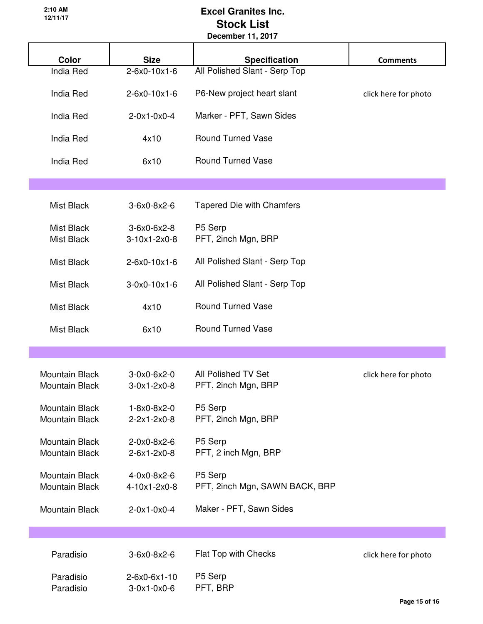|                                                |                                                    | December 11, 2017                                 |                      |
|------------------------------------------------|----------------------------------------------------|---------------------------------------------------|----------------------|
| <b>Color</b>                                   | <b>Size</b>                                        | <b>Specification</b>                              | <b>Comments</b>      |
| India Red                                      | 2-6x0-10x1-6                                       | All Polished Slant - Serp Top                     |                      |
| India Red                                      | $2-6x0-10x1-6$                                     | P6-New project heart slant                        | click here for photo |
| <b>India Red</b>                               | $2-0x1-0x0-4$                                      | Marker - PFT, Sawn Sides                          |                      |
| <b>India Red</b>                               | 4x10                                               | <b>Round Turned Vase</b>                          |                      |
| <b>India Red</b>                               | 6x10                                               | <b>Round Turned Vase</b>                          |                      |
|                                                |                                                    |                                                   |                      |
| <b>Mist Black</b>                              | 3-6x0-8x2-6                                        | <b>Tapered Die with Chamfers</b>                  |                      |
| <b>Mist Black</b><br>Mist Black                | 3-6x0-6x2-8<br>$3-10x1-2x0-8$                      | P5 Serp<br>PFT, 2inch Mgn, BRP                    |                      |
| Mist Black                                     | $2-6x0-10x1-6$                                     | All Polished Slant - Serp Top                     |                      |
| <b>Mist Black</b>                              | $3-0x0-10x1-6$                                     | All Polished Slant - Serp Top                     |                      |
| Mist Black                                     | 4x10                                               | <b>Round Turned Vase</b>                          |                      |
| Mist Black                                     | 6x10                                               | <b>Round Turned Vase</b>                          |                      |
|                                                |                                                    |                                                   |                      |
| <b>Mountain Black</b><br>Mountain Black        | $3-0x0-6x2-0$<br>$3-0x1-2x0-8$                     | <b>All Polished TV Set</b><br>PFT, 2inch Mgn, BRP | click here for photo |
| <b>Mountain Black</b><br><b>Mountain Black</b> | $1 - 8 \times 0 - 8 \times 2 - 0$<br>$2-2x1-2x0-8$ | P5 Serp<br>PFT, 2inch Mgn, BRP                    |                      |
| <b>Mountain Black</b><br><b>Mountain Black</b> | 2-0x0-8x2-6<br>$2-6x1-2x0-8$                       | P5 Serp<br>PFT, 2 inch Mgn, BRP                   |                      |
| <b>Mountain Black</b><br><b>Mountain Black</b> | 4-0x0-8x2-6<br>$4 - 10x1 - 2x0 - 8$                | P5 Serp<br>PFT, 2inch Mgn, SAWN BACK, BRP         |                      |
| <b>Mountain Black</b>                          | $2 - 0x1 - 0x0 - 4$                                | Maker - PFT, Sawn Sides                           |                      |
|                                                |                                                    |                                                   |                      |
| Paradisio                                      | $3-6x0-8x2-6$                                      | Flat Top with Checks                              | click here for photo |
| Paradisio<br>Paradisio                         | 2-6x0-6x1-10<br>$3-0x1-0x0-6$                      | P5 Serp<br>PFT, BRP                               |                      |